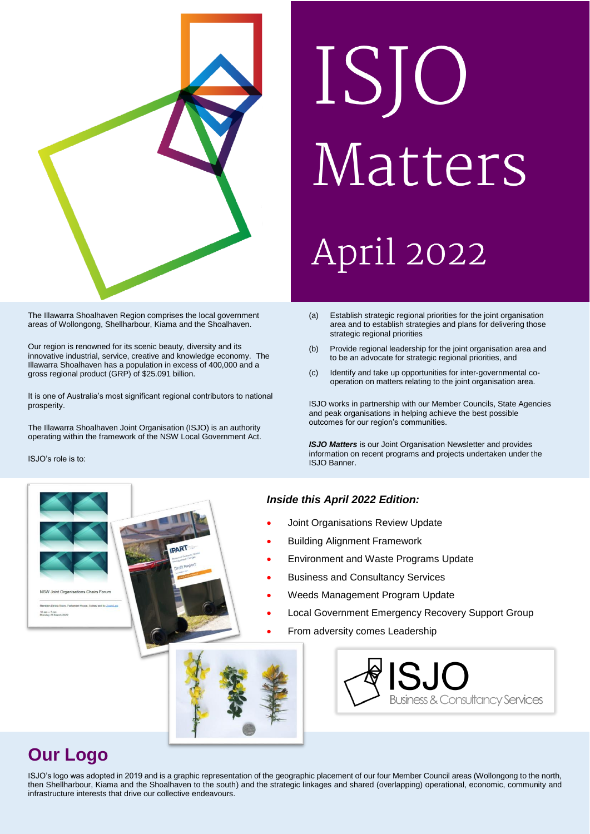

The Illawarra Shoalhaven Region comprises the local government areas of Wollongong, Shellharbour, Kiama and the Shoalhaven.

Our region is renowned for its scenic beauty, diversity and its innovative industrial, service, creative and knowledge economy. The Illawarra Shoalhaven has a population in excess of 400,000 and a gross regional product (GRP) of \$25.091 billion.

It is one of Australia's most significant regional contributors to national prosperity.

The Illawarra Shoalhaven Joint Organisation (ISJO) is an authority operating within the framework of the NSW Local Government Act.

ISJO's role is to:

 $10 \text{ nm} - 3 \text{ nm}$ 

.

# ISJO Matters April 2022

- (a) Establish strategic regional priorities for the joint organisation area and to establish strategies and plans for delivering those strategic regional priorities
- (b) Provide regional leadership for the joint organisation area and to be an advocate for strategic regional priorities, and
- (c) Identify and take up opportunities for inter-governmental cooperation on matters relating to the joint organisation area.

ISJO works in partnership with our Member Councils, State Agencies and peak organisations in helping achieve the best possible outcomes for our region's communities.

*ISJO Matters* is our Joint Organisation Newsletter and provides information on recent programs and projects undertaken under the ISJO Banner.

#### *Inside this April 2022 Edition:*

- Joint Organisations Review Update
- Building Alignment Framework
- Environment and Waste Programs Update
- Business and Consultancy Services
- Weeds Management Program Update
- Local Government Emergency Recovery Support Group
- From adversity comes Leadership





# **Our Logo**

ISJO's logo was adopted in 2019 and is a graphic representation of the geographic placement of our four Member Council areas (Wollongong to the north, then Shellharbour, Kiama and the Shoalhaven to the south) and the strategic linkages and shared (overlapping) operational, economic, community and infrastructure interests that drive our collective endeavours.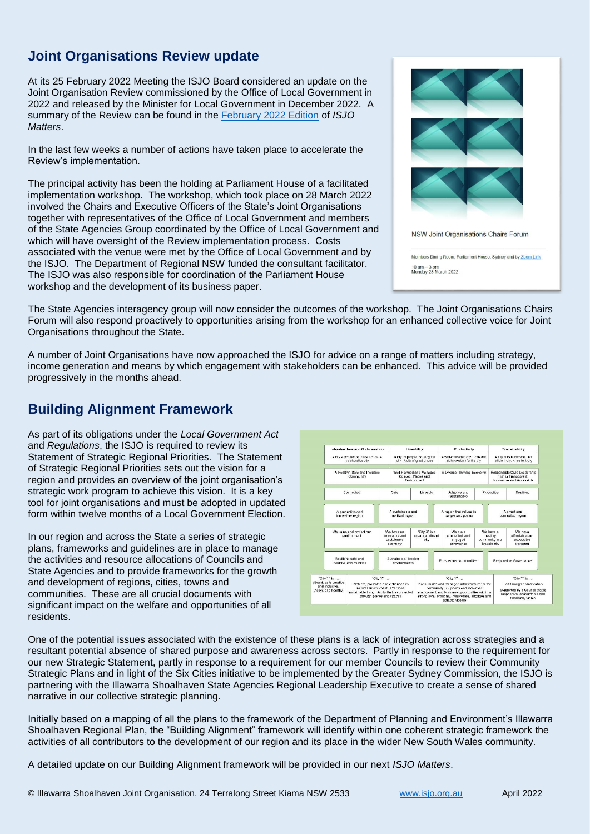# **Joint Organisations Review update**

At its 25 February 2022 Meeting the ISJO Board considered an update on the Joint Organisation Review commissioned by the Office of Local Government in 2022 and released by the Minister for Local Government in December 2022. A summary of the Review can be found in the [February 2022 Edition](https://www.isjo.org.au/assets/ea7d0995b8/ISJO-Matters-February-2022-Edition-v5.pdf) of *ISJO Matters*.

In the last few weeks a number of actions have taken place to accelerate the Review's implementation.

The principal activity has been the holding at Parliament House of a facilitated implementation workshop. The workshop, which took place on 28 March 2022 involved the Chairs and Executive Officers of the State's Joint Organisations together with representatives of the Office of Local Government and members of the State Agencies Group coordinated by the Office of Local Government and which will have oversight of the Review implementation process. Costs associated with the venue were met by the Office of Local Government and by the ISJO. The Department of Regional NSW funded the consultant facilitator. The ISJO was also responsible for coordination of the Parliament House workshop and the development of its business paper.



The State Agencies interagency group will now consider the outcomes of the workshop. The Joint Organisations Chairs Forum will also respond proactively to opportunities arising from the workshop for an enhanced collective voice for Joint Organisations throughout the State.

A number of Joint Organisations have now approached the ISJO for advice on a range of matters including strategy, income generation and means by which engagement with stakeholders can be enhanced. This advice will be provided progressively in the months ahead.

## **Building Alignment Framework**

As part of its obligations under the *Local Government Act*  and *Regulations*, the ISJO is required to review its Statement of Strategic Regional Priorities. The Statement of Strategic Regional Priorities sets out the vision for a region and provides an overview of the joint organisation's strategic work program to achieve this vision. It is a key tool for joint organisations and must be adopted in updated form within twelve months of a Local Government Election.

In our region and across the State a series of strategic plans, frameworks and guidelines are in place to manage the activities and resource allocations of Councils and State Agencies and to provide frameworks for the growth and development of regions, cities, towns and communities. These are all crucial documents with significant impact on the welfare and opportunities of all residents.



One of the potential issues associated with the existence of these plans is a lack of integration across strategies and a resultant potential absence of shared purpose and awareness across sectors. Partly in response to the requirement for our new Strategic Statement, partly in response to a requirement for our member Councils to review their Community Strategic Plans and in light of the Six Cities initiative to be implemented by the Greater Sydney Commission, the ISJO is partnering with the Illawarra Shoalhaven State Agencies Regional Leadership Executive to create a sense of shared narrative in our collective strategic planning.

Initially based on a mapping of all the plans to the framework of the Department of Planning and Environment's Illawarra Shoalhaven Regional Plan, the "Building Alignment" framework will identify within one coherent strategic framework the activities of all contributors to the development of our region and its place in the wider New South Wales community.

A detailed update on our Building Alignment framework will be provided in our next *ISJO Matters*.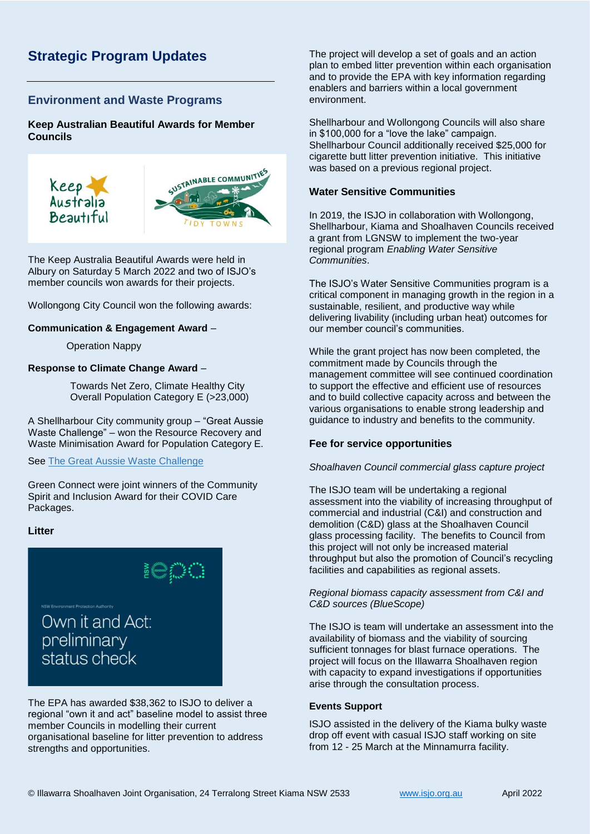# **Strategic Program Updates**

#### **Environment and Waste Programs**

**Keep Australian Beautiful Awards for Member Councils**



The Keep Australia Beautiful Awards were held in Albury on Saturday 5 March 2022 and two of ISJO's member councils won awards for their projects.

Wollongong City Council won the following awards:

#### **Communication & Engagement Award** –

Operation Nappy

#### **Response to Climate Change Award** –

Towards Net Zero, Climate Healthy City Overall Population Category E (>23,000)

A Shellharbour City community group – "Great Aussie Waste Challenge" – won the Resource Recovery and Waste Minimisation Award for Population Category E.

See [The Great Aussie Waste Challenge](https://www.thegreataussiewastechallenge.com/)

Green Connect were joint winners of the Community Spirit and Inclusion Award for their COVID Care Packages.

#### **Litter**



The EPA has awarded \$38,362 to ISJO to deliver a regional "own it and act" baseline model to assist three member Councils in modelling their current organisational baseline for litter prevention to address strengths and opportunities.

The project will develop a set of goals and an action plan to embed litter prevention within each organisation and to provide the EPA with key information regarding enablers and barriers within a local government environment.

Shellharbour and Wollongong Councils will also share in \$100,000 for a "love the lake" campaign. Shellharbour Council additionally received \$25,000 for cigarette butt litter prevention initiative. This initiative was based on a previous regional project.

#### **Water Sensitive Communities**

In 2019, the ISJO in collaboration with Wollongong, Shellharbour, Kiama and Shoalhaven Councils received a grant from LGNSW to implement the two-year regional program *Enabling Water Sensitive Communities*.

The ISJO's Water Sensitive Communities program is a critical component in managing growth in the region in a sustainable, resilient, and productive way while delivering livability (including urban heat) outcomes for our member council's communities.

While the grant project has now been completed, the commitment made by Councils through the management committee will see continued coordination to support the effective and efficient use of resources and to build collective capacity across and between the various organisations to enable strong leadership and guidance to industry and benefits to the community.

#### **Fee for service opportunities**

#### *Shoalhaven Council commercial glass capture project*

The ISJO team will be undertaking a regional assessment into the viability of increasing throughput of commercial and industrial (C&I) and construction and demolition (C&D) glass at the Shoalhaven Council glass processing facility. The benefits to Council from this project will not only be increased material throughput but also the promotion of Council's recycling facilities and capabilities as regional assets.

#### *Regional biomass capacity assessment from C&I and C&D sources (BlueScope)*

The ISJO is team will undertake an assessment into the availability of biomass and the viability of sourcing sufficient tonnages for blast furnace operations. The project will focus on the Illawarra Shoalhaven region with capacity to expand investigations if opportunities arise through the consultation process.

#### **Events Support**

ISJO assisted in the delivery of the Kiama bulky waste drop off event with casual ISJO staff working on site from 12 - 25 March at the Minnamurra facility.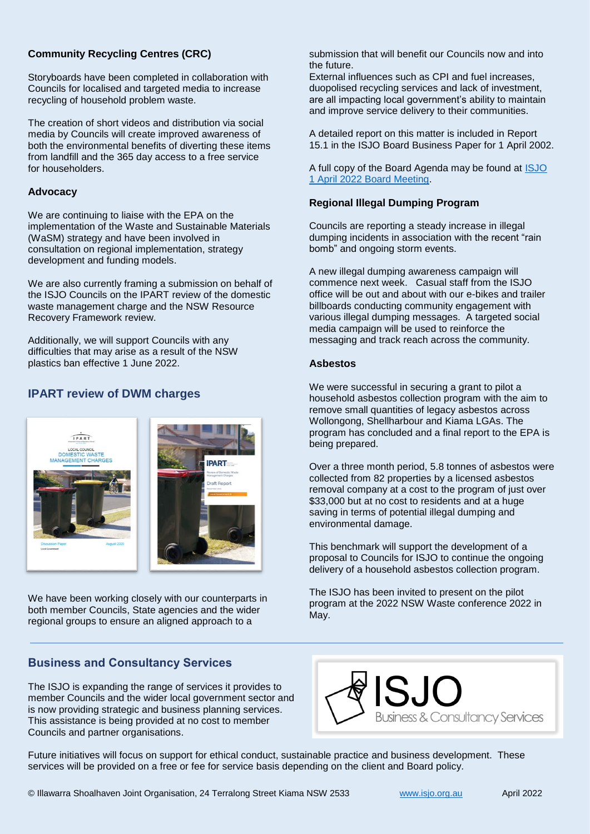#### **Community Recycling Centres (CRC)**

Storyboards have been completed in collaboration with Councils for localised and targeted media to increase recycling of household problem waste.

The creation of short videos and distribution via social media by Councils will create improved awareness of both the environmental benefits of diverting these items from landfill and the 365 day access to a free service for householders.

#### **Advocacy**

We are continuing to liaise with the EPA on the implementation of the Waste and Sustainable Materials (WaSM) strategy and have been involved in consultation on regional implementation, strategy development and funding models.

We are also currently framing a submission on behalf of the ISJO Councils on the IPART review of the domestic waste management charge and the NSW Resource Recovery Framework review.

Additionally, we will support Councils with any difficulties that may arise as a result of the NSW plastics ban effective 1 June 2022.

## **IPART review of DWM charges**



We have been working closely with our counterparts in both member Councils, State agencies and the wider regional groups to ensure an aligned approach to a

### **Business and Consultancy Services**

The ISJO is expanding the range of services it provides to member Councils and the wider local government sector and is now providing strategic and business planning services. This assistance is being provided at no cost to member Councils and partner organisations.

submission that will benefit our Councils now and into the future.

External influences such as CPI and fuel increases, duopolised recycling services and lack of investment, are all impacting local government's ability to maintain and improve service delivery to their communities.

A detailed report on this matter is included in Report 15.1 in the ISJO Board Business Paper for 1 April 2002.

A full copy of the Board Agenda may be found at **ISJO** [1 April 2022 Board Meeting.](https://www.isjo.org.au/assets/Uploads/3be62e206e/ISJO-Board-Business-Paper-1-April-2022.pdf)

#### **Regional Illegal Dumping Program**

Councils are reporting a steady increase in illegal dumping incidents in association with the recent "rain bomb" and ongoing storm events.

A new illegal dumping awareness campaign will commence next week. Casual staff from the ISJO office will be out and about with our e-bikes and trailer billboards conducting community engagement with various illegal dumping messages. A targeted social media campaign will be used to reinforce the messaging and track reach across the community.

#### **Asbestos**

We were successful in securing a grant to pilot a household asbestos collection program with the aim to remove small quantities of legacy asbestos across Wollongong, Shellharbour and Kiama LGAs. The program has concluded and a final report to the EPA is being prepared.

Over a three month period, 5.8 tonnes of asbestos were collected from 82 properties by a licensed asbestos removal company at a cost to the program of just over \$33,000 but at no cost to residents and at a huge saving in terms of potential illegal dumping and environmental damage.

This benchmark will support the development of a proposal to Councils for ISJO to continue the ongoing delivery of a household asbestos collection program.

The ISJO has been invited to present on the pilot program at the 2022 NSW Waste conference 2022 in May.



Future initiatives will focus on support for ethical conduct, sustainable practice and business development. These services will be provided on a free or fee for service basis depending on the client and Board policy.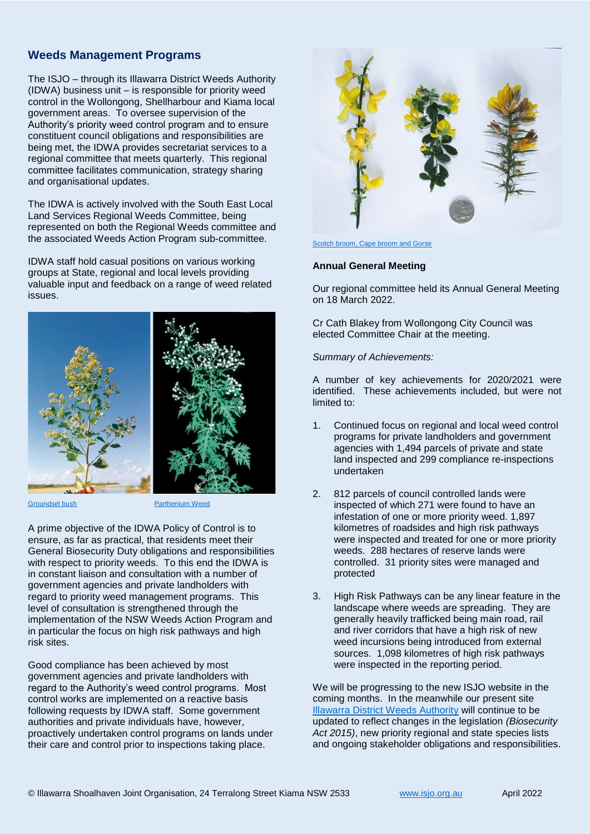## **Weeds Management Programs**

The ISJO – through its Illawarra District Weeds Authority (IDWA) business unit – is responsible for priority weed control in the Wollongong, Shellharbour and Kiama local government areas. To oversee supervision of the Authority's priority weed control program and to ensure constituent council obligations and responsibilities are being met, the IDWA provides secretariat services to a regional committee that meets quarterly. This regional committee facilitates communication, strategy sharing and organisational updates.

The IDWA is actively involved with the South East Local Land Services Regional Weeds Committee, being represented on both the Regional Weeds committee and the associated Weeds Action Program sub-committee.

IDWA staff hold casual positions on various working groups at State, regional and local levels providing valuable input and feedback on a range of weed related issues.



**[Groundsel bush](https://weeds.dpi.nsw.gov.au/Weeds/Details/67?msclkid=c12014a0afc511ec9a4662c7c74d2d62) [Parthenium Weed](https://weeds.dpi.nsw.gov.au/WeedImages/Details/595?NoWeeds=9)** 

A prime objective of the IDWA Policy of Control is to ensure, as far as practical, that residents meet their General Biosecurity Duty obligations and responsibilities with respect to priority weeds. To this end the IDWA is in constant liaison and consultation with a number of government agencies and private landholders with regard to priority weed management programs. This level of consultation is strengthened through the implementation of the NSW Weeds Action Program and in particular the focus on high risk pathways and high risk sites.

Good compliance has been achieved by most government agencies and private landholders with regard to the Authority's weed control programs. Most control works are implemented on a reactive basis following requests by IDWA staff. Some government authorities and private individuals have, however, proactively undertaken control programs on lands under their care and control prior to inspections taking place.



#### [Scotch broom, Cape broom and Gorse](https://weeds.dpi.nsw.gov.au/Weeds/Gorse?msclkid=a124b7b9afc811ec8ef1debe23b2b65c)

#### **Annual General Meeting**

Our regional committee held its Annual General Meeting on 18 March 2022.

Cr Cath Blakey from Wollongong City Council was elected Committee Chair at the meeting.

*Summary of Achievements:*

A number of key achievements for 2020/2021 were identified. These achievements included, but were not limited to:

- 1. Continued focus on regional and local weed control programs for private landholders and government agencies with 1,494 parcels of private and state land inspected and 299 compliance re-inspections undertaken
- 2. 812 parcels of council controlled lands were inspected of which 271 were found to have an infestation of one or more priority weed. 1,897 kilometres of roadsides and high risk pathways were inspected and treated for one or more priority weeds. 288 hectares of reserve lands were controlled. 31 priority sites were managed and protected
- 3. High Risk Pathways can be any linear feature in the landscape where weeds are spreading. They are generally heavily trafficked being main road, rail and river corridors that have a high risk of new weed incursions being introduced from external sources. 1,098 kilometres of high risk pathways were inspected in the reporting period.

We will be progressing to the new ISJO website in the coming months. In the meanwhile our present site [Illawarra District Weeds Authority](http://www.idnwa.com.au/) will continue to be updated to reflect changes in the legislation *(Biosecurity Act 2015)*, new priority regional and state species lists and ongoing stakeholder obligations and responsibilities.